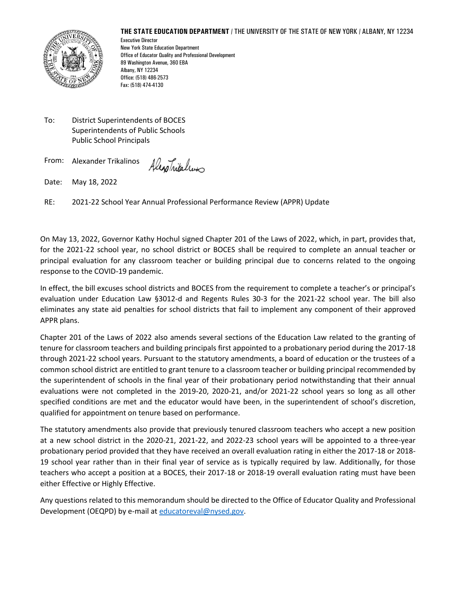#### **THE STATE EDUCATION DEPARTMENT** / THE UNIVERSITY OF THE STATE OF NEW YORK / ALBANY, NY 12234



Executive Director New York State Education Department Office of Educator Quality and Professional Development 89 Washington Avenue, 360 EBA Albany, NY 12234 Office: (518) 486-2573 Fax: (518) 474-4130

To: District Superintendents of BOCES Superintendents of Public Schools Public School Principals

From: Alexander Trikalinos

Alexanitalium

Date: May 18, 2022

RE: 2021-22 School Year Annual Professional Performance Review (APPR) Update

On May 13, 2022, Governor Kathy Hochul signed Chapter 201 of the Laws of 2022, which, in part, provides that, for the 2021-22 school year, no school district or BOCES shall be required to complete an annual teacher or principal evaluation for any classroom teacher or building principal due to concerns related to the ongoing response to the COVID-19 pandemic.

In effect, the bill excuses school districts and BOCES from the requirement to complete a teacher's or principal's evaluation under Education Law §3012-d and Regents Rules 30-3 for the 2021-22 school year. The bill also eliminates any state aid penalties for school districts that fail to implement any component of their approved APPR plans.

Chapter 201 of the Laws of 2022 also amends several sections of the Education Law related to the granting of tenure for classroom teachers and building principals first appointed to a probationary period during the 2017-18 through 2021-22 school years. Pursuant to the statutory amendments, a board of education or the trustees of a common school district are entitled to grant tenure to a classroom teacher or building principal recommended by the superintendent of schools in the final year of their probationary period notwithstanding that their annual evaluations were not completed in the 2019-20, 2020-21, and/or 2021-22 school years so long as all other specified conditions are met and the educator would have been, in the superintendent of school's discretion, qualified for appointment on tenure based on performance.

The statutory amendments also provide that previously tenured classroom teachers who accept a new position at a new school district in the 2020-21, 2021-22, and 2022-23 school years will be appointed to a three-year probationary period provided that they have received an overall evaluation rating in either the 2017-18 or 2018- 19 school year rather than in their final year of service as is typically required by law. Additionally, for those teachers who accept a position at a BOCES, their 2017-18 or 2018-19 overall evaluation rating must have been either Effective or Highly Effective.

Any questions related to this memorandum should be directed to the Office of Educator Quality and Professional Development (OEQPD) by e-mail at [educatoreval@nysed.gov.](about:blank)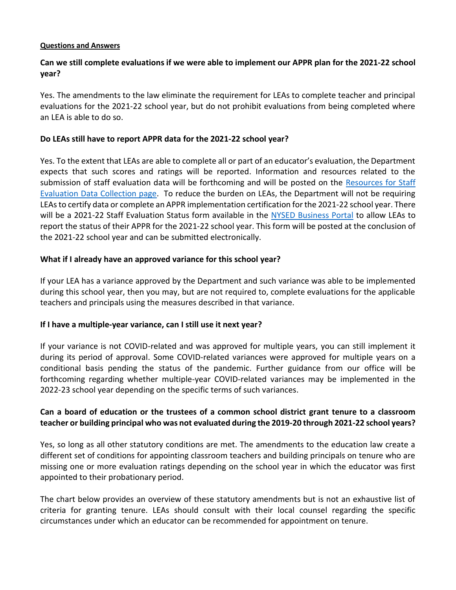#### **Questions and Answers**

# **Can we still complete evaluations if we were able to implement our APPR plan for the 2021-22 school year?**

Yes. The amendments to the law eliminate the requirement for LEAs to complete teacher and principal evaluations for the 2021-22 school year, but do not prohibit evaluations from being completed where an LEA is able to do so.

## **Do LEAs still have to report APPR data for the 2021-22 school year?**

Yes. To the extent that LEAs are able to complete all or part of an educator's evaluation, the Department expects that such scores and ratings will be reported. Information and resources related to the submission of staff evaluation data will be forthcoming and will be posted on the Resources for Staff Evaluation Data Collection page. To reduce the burden on LEAs, the Department will not be requiring LEAs to certify data or complete an APPR implementation certification for the 2021-22 school year. There will be a 2021-22 Staff Evaluation Status form available in the NYSED Business Portal to allow LEAs to report the status of their APPR for the 2021-22 school year. This form will be posted at the conclusion of the 2021-22 school year and can be submitted electronically.

### **What if I already have an approved variance for this school year?**

If your LEA has a variance approved by the Department and such variance was able to be implemented during this school year, then you may, but are not required to, complete evaluations for the applicable teachers and principals using the measures described in that variance.

### **If I have a multiple-year variance, can I still use it next year?**

If your variance is not COVID-related and was approved for multiple years, you can still implement it during its period of approval. Some COVID-related variances were approved for multiple years on a conditional basis pending the status of the pandemic. Further guidance from our office will be forthcoming regarding whether multiple-year COVID-related variances may be implemented in the 2022-23 school year depending on the specific terms of such variances.

# **Can a board of education or the trustees of a common school district grant tenure to a classroom teacher or building principal who was not evaluated during the 2019-20 through 2021-22 school years?**

Yes, so long as all other statutory conditions are met. The amendments to the education law create a different set of conditions for appointing classroom teachers and building principals on tenure who are missing one or more evaluation ratings depending on the school year in which the educator was first appointed to their probationary period.

The chart below provides an overview of these statutory amendments but is not an exhaustive list of criteria for granting tenure. LEAs should consult with their local counsel regarding the specific circumstances under which an educator can be recommended for appointment on tenure.